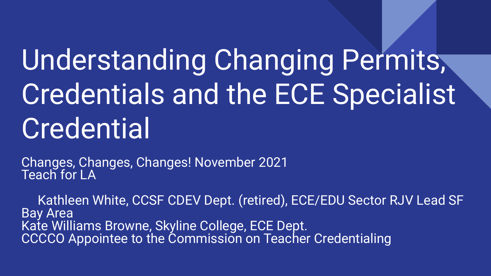# Understanding Changing Permits, Credentials and the ECE Specialist **Credential**

Changes, Changes, Changes! November 2021 Teach for LA

 Kathleen White, CCSF CDEV Dept. (retired), ECE/EDU Sector RJV Lead SF Bay Area Kate Williams Browne, Skyline College, ECE Dept. CCCCO Appointee to the Commission on Teacher Credentialing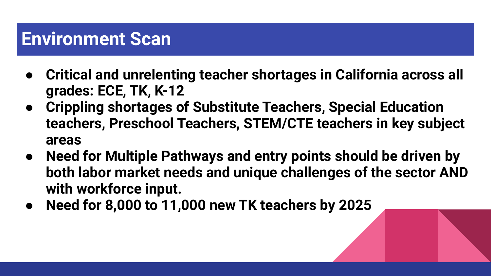#### **Environment Scan**

- **● Critical and unrelenting teacher shortages in California across all grades: ECE, TK, K-12**
- **● Crippling shortages of Substitute Teachers, Special Education teachers, Preschool Teachers, STEM/CTE teachers in key subject areas**
- **● Need for Multiple Pathways and entry points should be driven by both labor market needs and unique challenges of the sector AND with workforce input.**
- **● Need for 8,000 to 11,000 new TK teachers by 2025**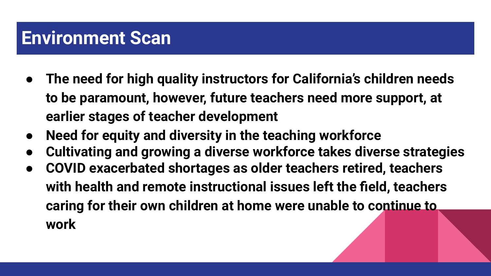#### **Environment Scan**

- **● The need for high quality instructors for California's children needs to be paramount, however, future teachers need more support, at earlier stages of teacher development**
- **● Need for equity and diversity in the teaching workforce**
- **● Cultivating and growing a diverse workforce takes diverse strategies**
- **● COVID exacerbated shortages as older teachers retired, teachers with health and remote instructional issues left the field, teachers caring for their own children at home were unable to continue to work**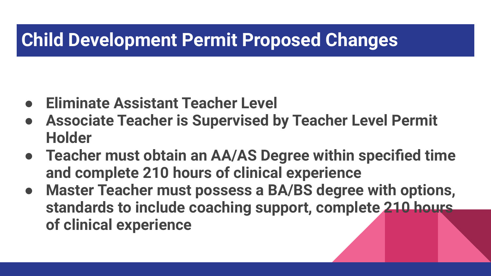### **Child Development Permit Proposed Changes**

- **● Eliminate Assistant Teacher Level**
- **● Associate Teacher is Supervised by Teacher Level Permit Holder**
- **● Teacher must obtain an AA/AS Degree within specified time and complete 210 hours of clinical experience**
- **Master Teacher must possess a BA/BS degree with options, standards to include coaching support, complete 210 hours of clinical experience**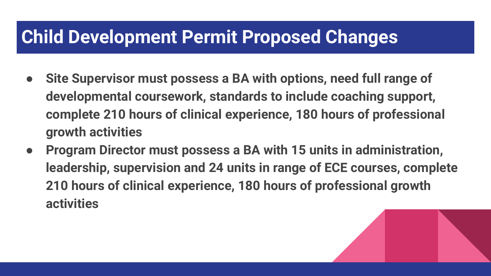#### **Child Development Permit Proposed Changes**

- **● Site Supervisor must possess a BA with options, need full range of developmental coursework, standards to include coaching support, complete 210 hours of clinical experience, 180 hours of professional growth activities**
- **● Program Director must possess a BA with 15 units in administration, leadership, supervision and 24 units in range of ECE courses, complete 210 hours of clinical experience, 180 hours of professional growth activities**

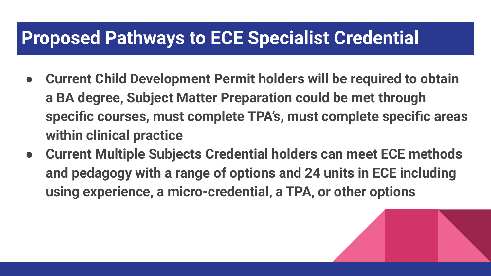#### **Proposed Pathways to ECE Specialist Credential**

- **● Current Child Development Permit holders will be required to obtain a BA degree, Subject Matter Preparation could be met through specific courses, must complete TPA's, must complete specific areas within clinical practice**
- **● Current Multiple Subjects Credential holders can meet ECE methods and pedagogy with a range of options and 24 units in ECE including using experience, a micro-credential, a TPA, or other options**

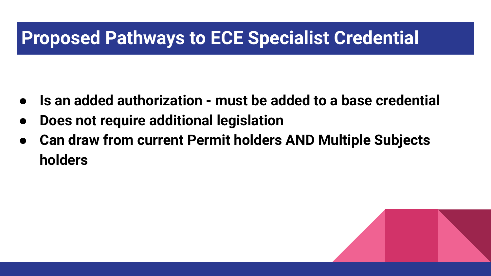#### **Proposed Pathways to ECE Specialist Credential**

- **● Is an added authorization must be added to a base credential**
- **● Does not require additional legislation**
- **● Can draw from current Permit holders AND Multiple Subjects holders**

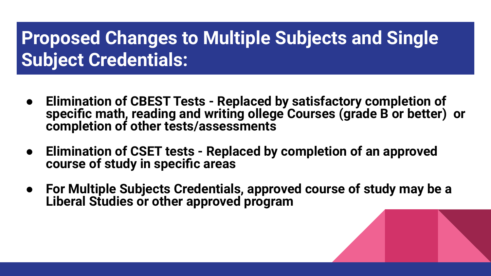### **Proposed Changes to Multiple Subjects and Single Subject Credentials:**

- **● Elimination of CBEST Tests Replaced by satisfactory completion of specific math, reading and writing ollege Courses (grade B or better) or completion of other tests/assessments**
- **● Elimination of CSET tests Replaced by completion of an approved course of study in specific areas**
- **● For Multiple Subjects Credentials, approved course of study may be a Liberal Studies or other approved program**

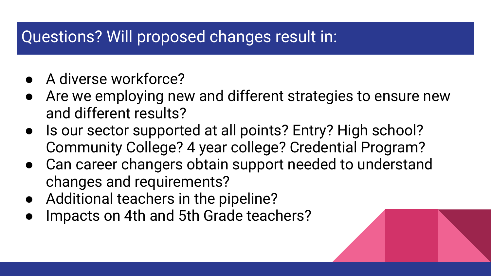#### Questions? Will proposed changes result in:

- A diverse workforce?
- Are we employing new and different strategies to ensure new and different results?
- Is our sector supported at all points? Entry? High school? Community College? 4 year college? Credential Program?
- Can career changers obtain support needed to understand changes and requirements?
- Additional teachers in the pipeline?
- Impacts on 4th and 5th Grade teachers?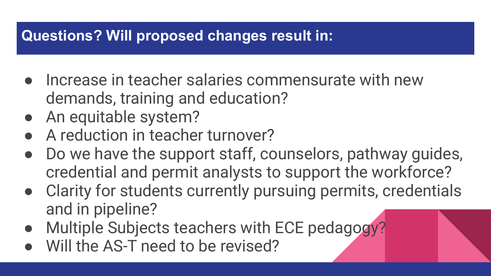#### **Questions? Will proposed changes result in:**

- $\bullet$  Increase in teacher salaries commensurate with new demands, training and education?
- An equitable system?
- A reduction in teacher turnover?
- Do we have the support staff, counselors, pathway guides, credential and permit analysts to support the workforce?
- Clarity for students currently pursuing permits, credentials and in pipeline?
- Multiple Subjects teachers with ECE pedagogy?
- Will the AS-T need to be revised?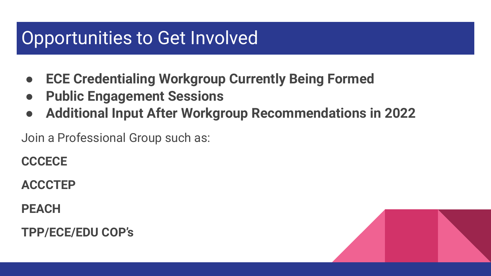#### Opportunities to Get Involved

- **● ECE Credentialing Workgroup Currently Being Formed**
- **● Public Engagement Sessions**
- **● Additional Input After Workgroup Recommendations in 2022**

Join a Professional Group such as:

**CCCECE**

**ACCCTEP**

**PEACH**

**TPP/ECE/EDU COP's**

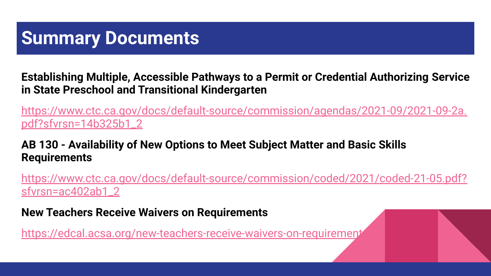#### **Summary Documents**

**Establishing Multiple, Accessible Pathways to a Permit or Credential Authorizing Service in State Preschool and Transitional Kindergarten** 

[https://www.ctc.ca.gov/docs/default-source/commission/agendas/2021-09/2021-09-2a.](https://www.ctc.ca.gov/docs/default-source/commission/agendas/2021-09/2021-09-2a.pdf?sfvrsn=14b325b1_2) [pdf?sfvrsn=14b325b1\\_2](https://www.ctc.ca.gov/docs/default-source/commission/agendas/2021-09/2021-09-2a.pdf?sfvrsn=14b325b1_2)

#### **AB 130 - Availability of New Options to Meet Subject Matter and Basic Skills Requirements**

[https://www.ctc.ca.gov/docs/default-source/commission/coded/2021/coded-21-05.pdf?](https://www.ctc.ca.gov/docs/default-source/commission/coded/2021/coded-21-05.pdf?sfvrsn=ac402ab1_2) [sfvrsn=ac402ab1\\_2](https://www.ctc.ca.gov/docs/default-source/commission/coded/2021/coded-21-05.pdf?sfvrsn=ac402ab1_2)

**New Teachers Receive Waivers on Requirements**

https://edcal.acsa.org/new-teachers-receive-waivers-on-requirement